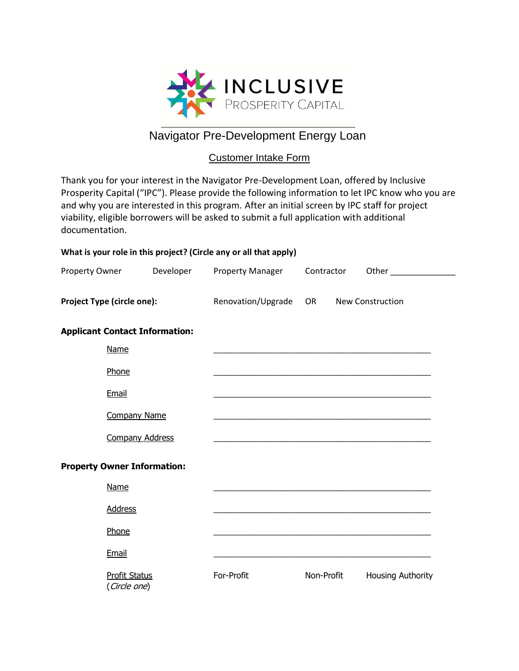

# Navigator Pre-Development Energy Loan

## Customer Intake Form

Thank you for your interest in the Navigator Pre-Development Loan, offered by Inclusive Prosperity Capital ("IPC"). Please provide the following information to let IPC know who you are and why you are interested in this program. After an initial screen by IPC staff for project viability, eligible borrowers will be asked to submit a full application with additional documentation.

| What is your role in this project? (Circle any or all that apply) |                                      |                    |                                                             |                  |                                                                                                                                                                                                                                |  |  |  |  |
|-------------------------------------------------------------------|--------------------------------------|--------------------|-------------------------------------------------------------|------------------|--------------------------------------------------------------------------------------------------------------------------------------------------------------------------------------------------------------------------------|--|--|--|--|
| Property Owner                                                    |                                      | Developer          | <b>Property Manager</b>                                     | Contractor       | Other the contract of the contract of the contract of the contract of the contract of the contract of the contract of the contract of the contract of the contract of the contract of the contract of the contract of the cont |  |  |  |  |
| Project Type (circle one):                                        |                                      | Renovation/Upgrade | <b>OR</b>                                                   | New Construction |                                                                                                                                                                                                                                |  |  |  |  |
| <b>Applicant Contact Information:</b>                             |                                      |                    |                                                             |                  |                                                                                                                                                                                                                                |  |  |  |  |
|                                                                   | Name                                 |                    |                                                             |                  | <u> 1989 - Johann Harry Harry Harry Harry Harry Harry Harry Harry Harry Harry Harry Harry Harry Harry Harry Harry</u>                                                                                                          |  |  |  |  |
|                                                                   | Phone                                |                    |                                                             |                  |                                                                                                                                                                                                                                |  |  |  |  |
|                                                                   | Email                                |                    |                                                             |                  |                                                                                                                                                                                                                                |  |  |  |  |
|                                                                   | <b>Company Name</b>                  |                    |                                                             |                  | <u> 1989 - Johann John Stone, mars et al. († 1958)</u>                                                                                                                                                                         |  |  |  |  |
|                                                                   | <b>Company Address</b>               |                    | <u> 1989 - Johann Stoff, amerikansk politiker (d. 1989)</u> |                  |                                                                                                                                                                                                                                |  |  |  |  |
| <b>Property Owner Information:</b>                                |                                      |                    |                                                             |                  |                                                                                                                                                                                                                                |  |  |  |  |
|                                                                   | Name                                 |                    |                                                             |                  |                                                                                                                                                                                                                                |  |  |  |  |
|                                                                   | <b>Address</b>                       |                    |                                                             |                  |                                                                                                                                                                                                                                |  |  |  |  |
|                                                                   | Phone                                |                    |                                                             |                  | <u> 1989 - Johann Harry Harry Harry Harry Harry Harry Harry Harry Harry Harry Harry Harry Harry Harry Harry Harry</u>                                                                                                          |  |  |  |  |
|                                                                   | Email                                |                    |                                                             |                  |                                                                                                                                                                                                                                |  |  |  |  |
|                                                                   | <b>Profit Status</b><br>(Circle one) |                    | For-Profit                                                  | Non-Profit       | Housing Authority                                                                                                                                                                                                              |  |  |  |  |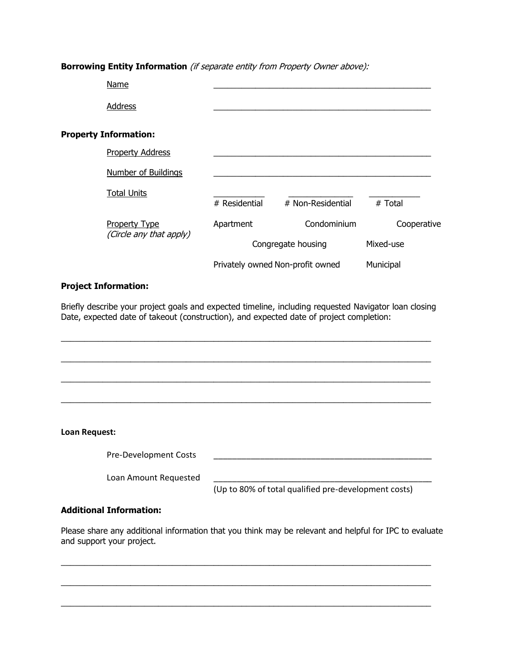#### **Borrowing Entity Information** (if separate entity from Property Owner above):

|                              | <b>Name</b>             |                                  |                    |             |  |  |
|------------------------------|-------------------------|----------------------------------|--------------------|-------------|--|--|
|                              | <b>Address</b>          |                                  |                    |             |  |  |
| <b>Property Information:</b> |                         |                                  |                    |             |  |  |
|                              | <b>Property Address</b> |                                  |                    |             |  |  |
|                              | Number of Buildings     |                                  |                    |             |  |  |
|                              | <b>Total Units</b>      | # Residential                    | # Non-Residential  | # Total     |  |  |
|                              | <b>Property Type</b>    | Apartment                        | Condominium        | Cooperative |  |  |
|                              | (Circle any that apply) |                                  | Congregate housing |             |  |  |
|                              |                         | Privately owned Non-profit owned |                    | Municipal   |  |  |

#### **Project Information:**

Briefly describe your project goals and expected timeline, including requested Navigator loan closing Date, expected date of takeout (construction), and expected date of project completion:

\_\_\_\_\_\_\_\_\_\_\_\_\_\_\_\_\_\_\_\_\_\_\_\_\_\_\_\_\_\_\_\_\_\_\_\_\_\_\_\_\_\_\_\_\_\_\_\_\_\_\_\_\_\_\_\_\_\_\_\_\_\_\_\_\_\_\_\_\_\_\_\_\_\_\_\_\_\_\_\_

\_\_\_\_\_\_\_\_\_\_\_\_\_\_\_\_\_\_\_\_\_\_\_\_\_\_\_\_\_\_\_\_\_\_\_\_\_\_\_\_\_\_\_\_\_\_\_\_\_\_\_\_\_\_\_\_\_\_\_\_\_\_\_\_\_\_\_\_\_\_\_\_\_\_\_\_\_\_\_\_

\_\_\_\_\_\_\_\_\_\_\_\_\_\_\_\_\_\_\_\_\_\_\_\_\_\_\_\_\_\_\_\_\_\_\_\_\_\_\_\_\_\_\_\_\_\_\_\_\_\_\_\_\_\_\_\_\_\_\_\_\_\_\_\_\_\_\_\_\_\_\_\_\_\_\_\_\_\_\_\_

\_\_\_\_\_\_\_\_\_\_\_\_\_\_\_\_\_\_\_\_\_\_\_\_\_\_\_\_\_\_\_\_\_\_\_\_\_\_\_\_\_\_\_\_\_\_\_\_\_\_\_\_\_\_\_\_\_\_\_\_\_\_\_\_\_\_\_\_\_\_\_\_\_\_\_\_\_\_\_\_

#### **Loan Request:**

Pre-Development Costs

Loan Amount Requested

(Up to 80% of total qualified pre-development costs)

#### **Additional Information:**

Please share any additional information that you think may be relevant and helpful for IPC to evaluate and support your project.

\_\_\_\_\_\_\_\_\_\_\_\_\_\_\_\_\_\_\_\_\_\_\_\_\_\_\_\_\_\_\_\_\_\_\_\_\_\_\_\_\_\_\_\_\_\_\_\_\_\_\_\_\_\_\_\_\_\_\_\_\_\_\_\_\_\_\_\_\_\_\_\_\_\_\_\_\_\_\_\_

\_\_\_\_\_\_\_\_\_\_\_\_\_\_\_\_\_\_\_\_\_\_\_\_\_\_\_\_\_\_\_\_\_\_\_\_\_\_\_\_\_\_\_\_\_\_\_\_\_\_\_\_\_\_\_\_\_\_\_\_\_\_\_\_\_\_\_\_\_\_\_\_\_\_\_\_\_\_\_\_

\_\_\_\_\_\_\_\_\_\_\_\_\_\_\_\_\_\_\_\_\_\_\_\_\_\_\_\_\_\_\_\_\_\_\_\_\_\_\_\_\_\_\_\_\_\_\_\_\_\_\_\_\_\_\_\_\_\_\_\_\_\_\_\_\_\_\_\_\_\_\_\_\_\_\_\_\_\_\_\_